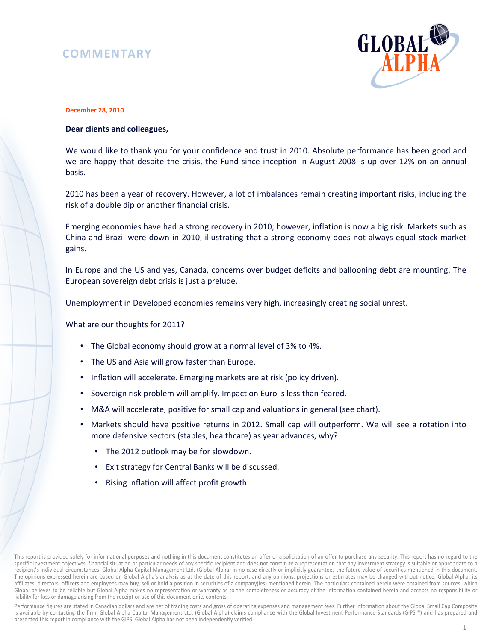## **COMMENTARY**



## **December 28, 2010**

## **Dear clients and colleagues,**

We would like to thank you for your confidence and trust in 2010. Absolute performance has been good and we are happy that despite the crisis, the Fund since inception in August 2008 is up over 12% on an annual basis.

2010 has been a year of recovery. However, a lot of imbalances remain creating important risks, including the risk of a double dip or another financial crisis.

Emerging economies have had a strong recovery in 2010; however, inflation is now a big risk. Markets such as China and Brazil were down in 2010, illustrating that a strong economy does not always equal stock market gains.

In Europe and the US and yes, Canada, concerns over budget deficits and ballooning debt are mounting. The European sovereign debt crisis is just a prelude.

Unemployment in Developed economies remains very high, increasingly creating social unrest.

What are our thoughts for 2011?

- The Global economy should grow at a normal level of 3% to 4%.
- The US and Asia will grow faster than Europe.
- Inflation will accelerate. Emerging markets are at risk (policy driven).
- Sovereign risk problem will amplify. Impact on Euro is less than feared.
- M&A will accelerate, positive for small cap and valuations in general (see chart).
- Markets should have positive returns in 2012. Small cap will outperform. We will see a rotation into more defensive sectors (staples, healthcare) as year advances, why?
	- The 2012 outlook may be for slowdown.
	- Exit strategy for Central Banks will be discussed.
	- Rising inflation will affect profit growth

This report is provided solely for informational purposes and nothing in this document constitutes an offer or a solicitation of an offer to purchase any security. This report has no regard to the specific investment objectives, financial situation or particular needs of any specific recipient and does not constitute a representation that any investment strategy is suitable or appropriate to a recipient's individual circumstances. Global Alpha Capital Management Ltd. (Global Alpha) in no case directly or implicitly guarantees the future value of securities mentioned in this document. The opinions expressed herein are based on Global Alpha's analysis as at the date of this report, and any opinions, projections or estimates may be changed without notice. Global Alpha, its affiliates, directors, officers and employees may buy, sell or hold a position in securities of a company(ies) mentioned herein. The particulars contained herein were obtained from sources, which Global believes to be reliable but Global Alpha makes no representation or warranty as to the completeness or accuracy of the information contained herein and accepts no responsibility or liability for loss or damage arising from the receipt or use of this document or its contents.

Performance figures are stated in Canadian dollars and are net of trading costs and gross of operating expenses and management fees. Further information about the Global Small Cap Composite is available by contacting the firm. Global Alpha Capital Management Ltd. (Global Alpha) claims compliance with the Global Investment Performance Standards (GIPS ®) and has prepared and presented this report in compliance with the GIPS. Global Alpha has not been independently verified.